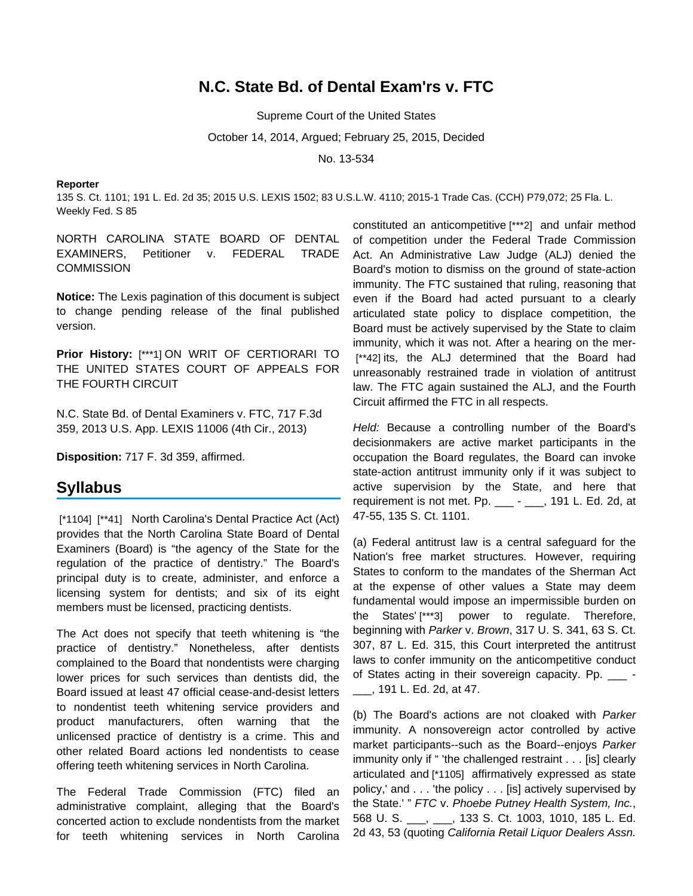# **N.C. State Bd. of Dental Exam'rs v. FTC**

Supreme Court of the United States

October 14, 2014, Argued; February 25, 2015, Decided

No. 13-534

#### **Reporter**

135 S. Ct. 1101; 191 L. Ed. 2d 35; 2015 U.S. LEXIS 1502; 83 U.S.L.W. 4110; 2015-1 Trade Cas. (CCH) P79,072; 25 Fla. L. Weekly Fed. S 85

NORTH CAROLINA STATE BOARD OF DENTAL EXAMINERS, Petitioner v. FEDERAL TRADE **COMMISSION** 

**Notice:** The Lexis pagination of this document is subject to change pending release of the final published version.

**Prior History:** [\*\*\*1] ON WRIT OF CERTIORARI TO THE UNITED STATES COURT OF APPEALS FOR THE FOURTH CIRCUIT

N.C. State Bd. of Dental Examiners v. FTC, 717 F.3d 359, 2013 U.S. App. LEXIS 11006 (4th Cir., 2013)

**Disposition:** 717 F. 3d 359, affirmed.

# **Syllabus**

[\*1104] [\*\*41] North Carolina's Dental Practice Act (Act) provides that the North Carolina State Board of Dental Examiners (Board) is "the agency of the State for the regulation of the practice of dentistry." The Board's principal duty is to create, administer, and enforce a licensing system for dentists; and six of its eight members must be licensed, practicing dentists.

The Act does not specify that teeth whitening is "the practice of dentistry." Nonetheless, after dentists complained to the Board that nondentists were charging lower prices for such services than dentists did, the Board issued at least 47 official cease-and-desist letters to nondentist teeth whitening service providers and product manufacturers, often warning that the unlicensed practice of dentistry is a crime. This and other related Board actions led nondentists to cease offering teeth whitening services in North Carolina.

The Federal Trade Commission (FTC) filed an administrative complaint, alleging that the Board's concerted action to exclude nondentists from the market for teeth whitening services in North Carolina

constituted an anticompetitive [\*\*\*2] and unfair method of competition under the Federal Trade Commission Act. An Administrative Law Judge (ALJ) denied the Board's motion to dismiss on the ground of state-action immunity. The FTC sustained that ruling, reasoning that even if the Board had acted pursuant to a clearly articulated state policy to displace competition, the Board must be actively supervised by the State to claim immunity, which it was not. After a hearing on the mer- [\*\*42] its, the ALJ determined that the Board had unreasonably restrained trade in violation of antitrust law. The FTC again sustained the ALJ, and the Fourth Circuit affirmed the FTC in all respects.

Held: Because a controlling number of the Board's decisionmakers are active market participants in the occupation the Board regulates, the Board can invoke state-action antitrust immunity only if it was subject to active supervision by the State, and here that requirement is not met. Pp. \_\_\_ - \_\_\_, 191 L. Ed. 2d, at 47-55, 135 S. Ct. 1101.

(a) Federal antitrust law is a central safeguard for the Nation's free market structures. However, requiring States to conform to the mandates of the Sherman Act at the expense of other values a State may deem fundamental would impose an impermissible burden on the States' [\*\*\*3] power to regulate. Therefore, beginning with Parker v. Brown, 317 U. S. 341, 63 S. Ct. 307, 87 L. Ed. 315, this Court interpreted the antitrust laws to confer immunity on the anticompetitive conduct of States acting in their sovereign capacity. Pp. \_\_\_ - \_\_\_, 191 L. Ed. 2d, at 47.

(b) The Board's actions are not cloaked with Parker immunity. A nonsovereign actor controlled by active market participants--such as the Board--enjoys Parker immunity only if " 'the challenged restraint . . . [is] clearly articulated and [\*1105] affirmatively expressed as state policy,' and . . . 'the policy . . . [is] actively supervised by the State.' " FTC v. Phoebe Putney Health System, Inc., 568 U. S. \_\_\_, \_\_\_, 133 S. Ct. 1003, 1010, 185 L. Ed. 2d 43, 53 (quoting California Retail Liquor Dealers Assn.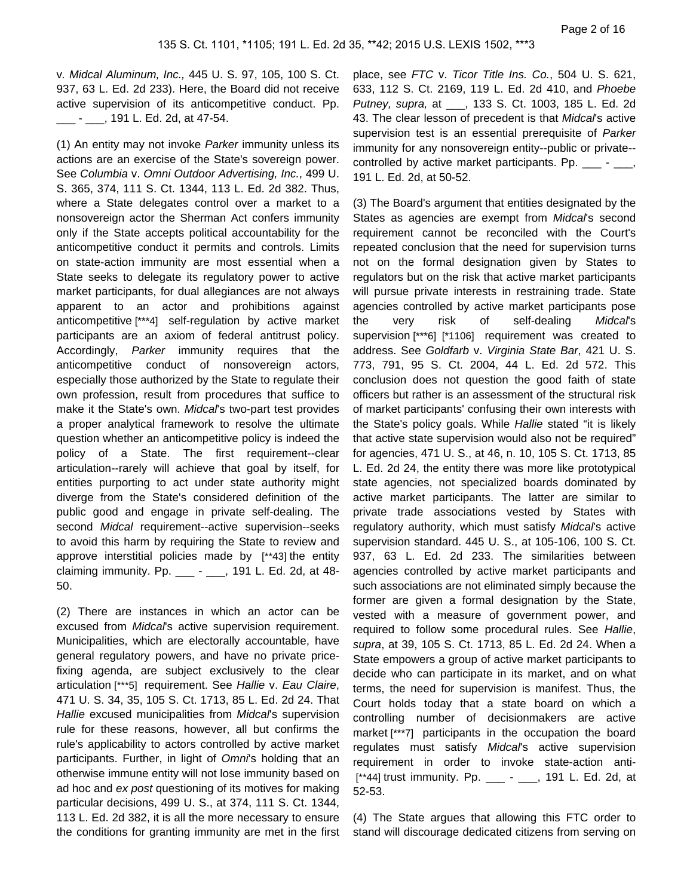v. Midcal Aluminum, Inc., 445 U. S. 97, 105, 100 S. Ct. 937, 63 L. Ed. 2d 233). Here, the Board did not receive active supervision of its anticompetitive conduct. Pp. \_\_\_\_\_\_\_\_\_\_\_, 191 L. Ed. 2d, at 47-54.

(1) An entity may not invoke Parker immunity unless its actions are an exercise of the State's sovereign power. See Columbia v. Omni Outdoor Advertising, Inc., 499 U. S. 365, 374, 111 S. Ct. 1344, 113 L. Ed. 2d 382. Thus, where a State delegates control over a market to a nonsovereign actor the Sherman Act confers immunity only if the State accepts political accountability for the anticompetitive conduct it permits and controls. Limits on state-action immunity are most essential when a State seeks to delegate its regulatory power to active market participants, for dual allegiances are not always apparent to an actor and prohibitions against anticompetitive [\*\*\*4] self-regulation by active market participants are an axiom of federal antitrust policy. Accordingly, Parker immunity requires that the anticompetitive conduct of nonsovereign actors, especially those authorized by the State to regulate their own profession, result from procedures that suffice to make it the State's own. Midcal's two-part test provides a proper analytical framework to resolve the ultimate question whether an anticompetitive policy is indeed the policy of a State. The first requirement--clear articulation--rarely will achieve that goal by itself, for entities purporting to act under state authority might diverge from the State's considered definition of the public good and engage in private self-dealing. The second Midcal requirement--active supervision--seeks to avoid this harm by requiring the State to review and approve interstitial policies made by [\*\*43] the entity claiming immunity. Pp. \_\_\_ - \_\_\_, 191 L. Ed. 2d, at 48- 50.

(2) There are instances in which an actor can be excused from *Midcal's* active supervision requirement. Municipalities, which are electorally accountable, have general regulatory powers, and have no private pricefixing agenda, are subject exclusively to the clear articulation [\*\*\*5] requirement. See Hallie v. Eau Claire, 471 U. S. 34, 35, 105 S. Ct. 1713, 85 L. Ed. 2d 24. That Hallie excused municipalities from Midcal's supervision rule for these reasons, however, all but confirms the rule's applicability to actors controlled by active market participants. Further, in light of Omni's holding that an otherwise immune entity will not lose immunity based on ad hoc and ex post questioning of its motives for making particular decisions, 499 U. S., at 374, 111 S. Ct. 1344, 113 L. Ed. 2d 382, it is all the more necessary to ensure the conditions for granting immunity are met in the first

place, see FTC v. Ticor Title Ins. Co., 504 U. S. 621, 633, 112 S. Ct. 2169, 119 L. Ed. 2d 410, and Phoebe Putney, supra, at \_\_\_, 133 S. Ct. 1003, 185 L. Ed. 2d 43. The clear lesson of precedent is that Midcal's active supervision test is an essential prerequisite of Parker immunity for any nonsovereign entity--public or private- controlled by active market participants. Pp.  $\frac{1}{\sqrt{2}}$  -  $\frac{1}{\sqrt{2}}$ , 191 L. Ed. 2d, at 50-52.

(3) The Board's argument that entities designated by the States as agencies are exempt from Midcal's second requirement cannot be reconciled with the Court's repeated conclusion that the need for supervision turns not on the formal designation given by States to regulators but on the risk that active market participants will pursue private interests in restraining trade. State agencies controlled by active market participants pose the very risk of self-dealing Midcal's supervision [\*\*\*6] [\*1106] requirement was created to address. See Goldfarb v. Virginia State Bar, 421 U. S. 773, 791, 95 S. Ct. 2004, 44 L. Ed. 2d 572. This conclusion does not question the good faith of state officers but rather is an assessment of the structural risk of market participants' confusing their own interests with the State's policy goals. While Hallie stated "it is likely that active state supervision would also not be required" for agencies, 471 U. S., at 46, n. 10, 105 S. Ct. 1713, 85 L. Ed. 2d 24, the entity there was more like prototypical state agencies, not specialized boards dominated by active market participants. The latter are similar to private trade associations vested by States with regulatory authority, which must satisfy Midcal's active supervision standard. 445 U. S., at 105-106, 100 S. Ct. 937, 63 L. Ed. 2d 233. The similarities between agencies controlled by active market participants and such associations are not eliminated simply because the former are given a formal designation by the State, vested with a measure of government power, and required to follow some procedural rules. See Hallie, supra, at 39, 105 S. Ct. 1713, 85 L. Ed. 2d 24. When a State empowers a group of active market participants to decide who can participate in its market, and on what terms, the need for supervision is manifest. Thus, the Court holds today that a state board on which a controlling number of decisionmakers are active market [\*\*\*7] participants in the occupation the board regulates must satisfy Midcal's active supervision requirement in order to invoke state-action anti- [\*\*44] trust immunity. Pp. \_\_\_ - \_\_\_, 191 L. Ed. 2d, at 52-53.

(4) The State argues that allowing this FTC order to stand will discourage dedicated citizens from serving on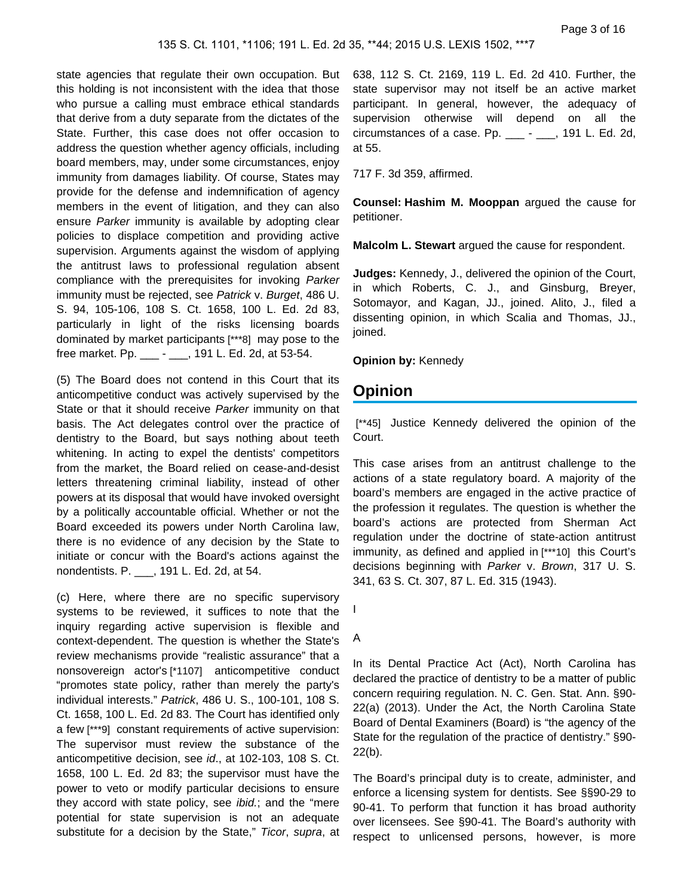state agencies that regulate their own occupation. But this holding is not inconsistent with the idea that those who pursue a calling must embrace ethical standards that derive from a duty separate from the dictates of the State. Further, this case does not offer occasion to address the question whether agency officials, including board members, may, under some circumstances, enjoy immunity from damages liability. Of course, States may provide for the defense and indemnification of agency members in the event of litigation, and they can also ensure Parker immunity is available by adopting clear policies to displace competition and providing active supervision. Arguments against the wisdom of applying the antitrust laws to professional regulation absent compliance with the prerequisites for invoking Parker immunity must be rejected, see Patrick v. Burget, 486 U. S. 94, 105-106, 108 S. Ct. 1658, 100 L. Ed. 2d 83, particularly in light of the risks licensing boards dominated by market participants [\*\*\*8] may pose to the free market. Pp. \_\_\_ - \_\_\_, 191 L. Ed. 2d, at 53-54.

(5) The Board does not contend in this Court that its anticompetitive conduct was actively supervised by the State or that it should receive Parker immunity on that basis. The Act delegates control over the practice of dentistry to the Board, but says nothing about teeth whitening. In acting to expel the dentists' competitors from the market, the Board relied on cease-and-desist letters threatening criminal liability, instead of other powers at its disposal that would have invoked oversight by a politically accountable official. Whether or not the Board exceeded its powers under North Carolina law, there is no evidence of any decision by the State to initiate or concur with the Board's actions against the nondentists. P. \_\_\_, 191 L. Ed. 2d, at 54.

(c) Here, where there are no specific supervisory systems to be reviewed, it suffices to note that the inquiry regarding active supervision is flexible and context-dependent. The question is whether the State's review mechanisms provide "realistic assurance" that a nonsovereign actor's [\*1107] anticompetitive conduct "promotes state policy, rather than merely the party's individual interests." Patrick, 486 U. S., 100-101, 108 S. Ct. 1658, 100 L. Ed. 2d 83. The Court has identified only a few [\*\*\*9] constant requirements of active supervision: The supervisor must review the substance of the anticompetitive decision, see id., at 102-103, 108 S. Ct. 1658, 100 L. Ed. 2d 83; the supervisor must have the power to veto or modify particular decisions to ensure they accord with state policy, see *ibid.*; and the "mere potential for state supervision is not an adequate substitute for a decision by the State," Ticor, supra, at 638, 112 S. Ct. 2169, 119 L. Ed. 2d 410. Further, the state supervisor may not itself be an active market participant. In general, however, the adequacy of supervision otherwise will depend on all the circumstances of a case. Pp.  $\frac{1}{2}$  -  $\frac{1}{2}$ , 191 L. Ed. 2d, at 55.

717 F. 3d 359, affirmed.

**Counsel: Hashim M. Mooppan** argued the cause for petitioner.

**Malcolm L. Stewart** argued the cause for respondent.

**Judges:** Kennedy, J., delivered the opinion of the Court, in which Roberts, C. J., and Ginsburg, Breyer, Sotomayor, and Kagan, JJ., joined. Alito, J., filed a dissenting opinion, in which Scalia and Thomas, JJ., ioined.

**Opinion by:** Kennedy

## **Opinion**

[\*\*45] Justice Kennedy delivered the opinion of the Court.

This case arises from an antitrust challenge to the actions of a state regulatory board. A majority of the board's members are engaged in the active practice of the profession it regulates. The question is whether the board's actions are protected from Sherman Act regulation under the doctrine of state-action antitrust immunity, as defined and applied in [\*\*\*10] this Court's decisions beginning with Parker v. Brown, 317 U. S. 341, 63 S. Ct. 307, 87 L. Ed. 315 (1943).

I

A

In its Dental Practice Act (Act), North Carolina has declared the practice of dentistry to be a matter of public concern requiring regulation. N. C. Gen. Stat. Ann. §90- 22(a) (2013). Under the Act, the North Carolina State Board of Dental Examiners (Board) is "the agency of the State for the regulation of the practice of dentistry." §90- 22(b).

The Board's principal duty is to create, administer, and enforce a licensing system for dentists. See §§90-29 to 90-41. To perform that function it has broad authority over licensees. See §90-41. The Board's authority with respect to unlicensed persons, however, is more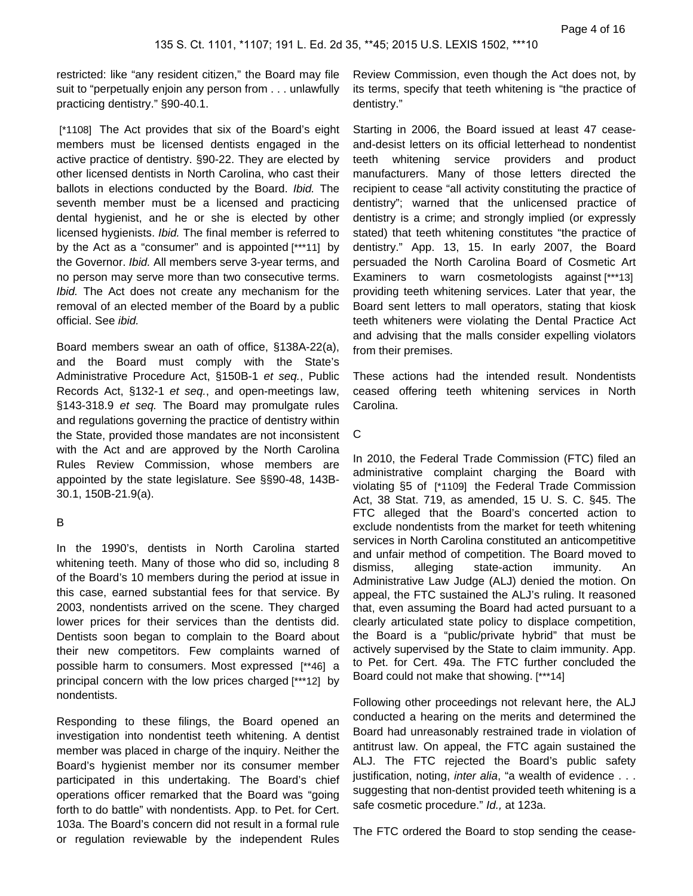restricted: like "any resident citizen," the Board may file suit to "perpetually enjoin any person from . . . unlawfully practicing dentistry." §90-40.1.

[\*1108] The Act provides that six of the Board's eight members must be licensed dentists engaged in the active practice of dentistry. §90-22. They are elected by other licensed dentists in North Carolina, who cast their ballots in elections conducted by the Board. Ibid. The seventh member must be a licensed and practicing dental hygienist, and he or she is elected by other licensed hygienists. Ibid. The final member is referred to by the Act as a "consumer" and is appointed [\*\*\*11] by the Governor. Ibid. All members serve 3-year terms, and no person may serve more than two consecutive terms. Ibid. The Act does not create any mechanism for the removal of an elected member of the Board by a public official. See ibid.

Board members swear an oath of office, §138A-22(a), and the Board must comply with the State's Administrative Procedure Act, §150B-1 et seq., Public Records Act, §132-1 et seq., and open-meetings law, §143-318.9 et seq. The Board may promulgate rules and regulations governing the practice of dentistry within the State, provided those mandates are not inconsistent with the Act and are approved by the North Carolina Rules Review Commission, whose members are appointed by the state legislature. See §§90-48, 143B-30.1, 150B-21.9(a).

### B

In the 1990's, dentists in North Carolina started whitening teeth. Many of those who did so, including 8 of the Board's 10 members during the period at issue in this case, earned substantial fees for that service. By 2003, nondentists arrived on the scene. They charged lower prices for their services than the dentists did. Dentists soon began to complain to the Board about their new competitors. Few complaints warned of possible harm to consumers. Most expressed [\*\*46] a principal concern with the low prices charged [\*\*\*12] by nondentists.

Responding to these filings, the Board opened an investigation into nondentist teeth whitening. A dentist member was placed in charge of the inquiry. Neither the Board's hygienist member nor its consumer member participated in this undertaking. The Board's chief operations officer remarked that the Board was "going forth to do battle" with nondentists. App. to Pet. for Cert. 103a. The Board's concern did not result in a formal rule or regulation reviewable by the independent Rules

Review Commission, even though the Act does not, by its terms, specify that teeth whitening is "the practice of dentistry."

Starting in 2006, the Board issued at least 47 ceaseand-desist letters on its official letterhead to nondentist teeth whitening service providers and product manufacturers. Many of those letters directed the recipient to cease "all activity constituting the practice of dentistry"; warned that the unlicensed practice of dentistry is a crime; and strongly implied (or expressly stated) that teeth whitening constitutes "the practice of dentistry." App. 13, 15. In early 2007, the Board persuaded the North Carolina Board of Cosmetic Art Examiners to warn cosmetologists against [\*\*\*13] providing teeth whitening services. Later that year, the Board sent letters to mall operators, stating that kiosk teeth whiteners were violating the Dental Practice Act and advising that the malls consider expelling violators from their premises.

These actions had the intended result. Nondentists ceased offering teeth whitening services in North Carolina.

C

In 2010, the Federal Trade Commission (FTC) filed an administrative complaint charging the Board with violating §5 of [\*1109] the Federal Trade Commission Act, 38 Stat. 719, as amended, 15 U. S. C. §45. The FTC alleged that the Board's concerted action to exclude nondentists from the market for teeth whitening services in North Carolina constituted an anticompetitive and unfair method of competition. The Board moved to dismiss, alleging state-action immunity. An Administrative Law Judge (ALJ) denied the motion. On appeal, the FTC sustained the ALJ's ruling. It reasoned that, even assuming the Board had acted pursuant to a clearly articulated state policy to displace competition, the Board is a "public/private hybrid" that must be actively supervised by the State to claim immunity. App. to Pet. for Cert. 49a. The FTC further concluded the Board could not make that showing. [\*\*\*14]

Following other proceedings not relevant here, the ALJ conducted a hearing on the merits and determined the Board had unreasonably restrained trade in violation of antitrust law. On appeal, the FTC again sustained the ALJ. The FTC rejected the Board's public safety justification, noting, *inter alia*, "a wealth of evidence . . . suggesting that non-dentist provided teeth whitening is a safe cosmetic procedure." Id., at 123a.

The FTC ordered the Board to stop sending the cease-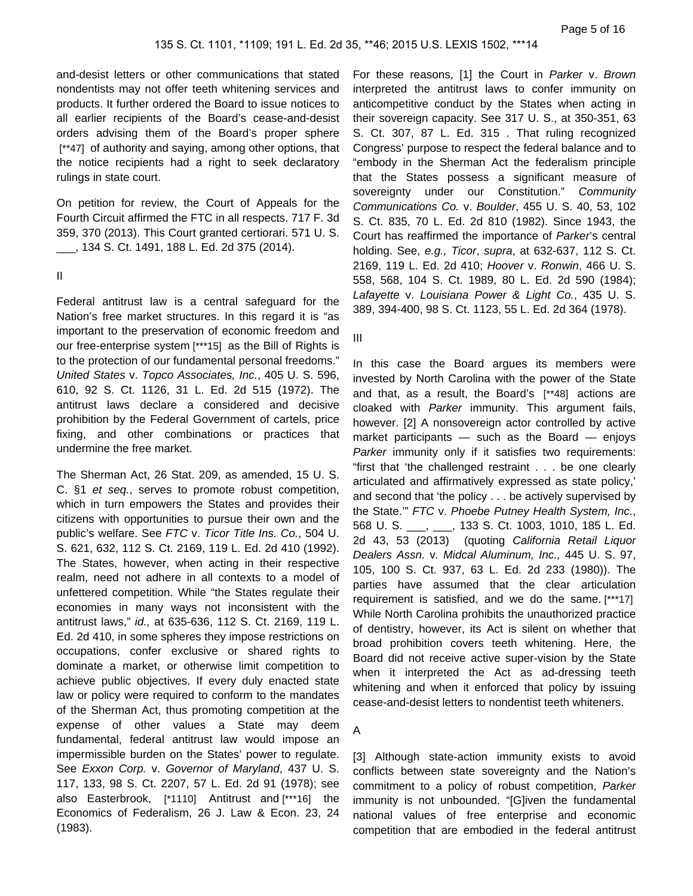and-desist letters or other communications that stated nondentists may not offer teeth whitening services and products. It further ordered the Board to issue notices to all earlier recipients of the Board's cease-and-desist orders advising them of the Board's proper sphere [\*\*47] of authority and saying, among other options, that the notice recipients had a right to seek declaratory rulings in state court.

On petition for review, the Court of Appeals for the Fourth Circuit affirmed the FTC in all respects. 717 F. 3d 359, 370 (2013). This Court granted certiorari. 571 U. S. \_\_\_, 134 S. Ct. 1491, 188 L. Ed. 2d 375 (2014).

### II

Federal antitrust law is a central safeguard for the Nation's free market structures. In this regard it is "as important to the preservation of economic freedom and our free-enterprise system [\*\*\*15] as the Bill of Rights is to the protection of our fundamental personal freedoms." United States v. Topco Associates, Inc., 405 U. S. 596, 610, 92 S. Ct. 1126, 31 L. Ed. 2d 515 (1972). The antitrust laws declare a considered and decisive prohibition by the Federal Government of cartels, price fixing, and other combinations or practices that undermine the free market.

The Sherman Act, 26 Stat. 209, as amended, 15 U. S. C. §1 et seq., serves to promote robust competition, which in turn empowers the States and provides their citizens with opportunities to pursue their own and the public's welfare. See FTC v. Ticor Title Ins. Co., 504 U. S. 621, 632, 112 S. Ct. 2169, 119 L. Ed. 2d 410 (1992). The States, however, when acting in their respective realm, need not adhere in all contexts to a model of unfettered competition. While "the States regulate their economies in many ways not inconsistent with the antitrust laws," id., at 635-636, 112 S. Ct. 2169, 119 L. Ed. 2d 410, in some spheres they impose restrictions on occupations, confer exclusive or shared rights to dominate a market, or otherwise limit competition to achieve public objectives. If every duly enacted state law or policy were required to conform to the mandates of the Sherman Act, thus promoting competition at the expense of other values a State may deem fundamental, federal antitrust law would impose an impermissible burden on the States' power to regulate. See Exxon Corp. v. Governor of Maryland, 437 U. S. 117, 133, 98 S. Ct. 2207, 57 L. Ed. 2d 91 (1978); see also Easterbrook, [\*1110] Antitrust and [\*\*\*16] the Economics of Federalism, 26 J. Law & Econ. 23, 24 (1983).

For these reasons, [1] the Court in Parker v. Brown interpreted the antitrust laws to confer immunity on anticompetitive conduct by the States when acting in their sovereign capacity. See 317 U. S., at 350-351, 63 S. Ct. 307, 87 L. Ed. 315 . That ruling recognized Congress' purpose to respect the federal balance and to "embody in the Sherman Act the federalism principle that the States possess a significant measure of sovereignty under our Constitution." Community Communications Co. v. Boulder, 455 U. S. 40, 53, 102 S. Ct. 835, 70 L. Ed. 2d 810 (1982). Since 1943, the Court has reaffirmed the importance of Parker's central holding. See, e.g., Ticor, supra, at 632-637, 112 S. Ct. 2169, 119 L. Ed. 2d 410; Hoover v. Ronwin, 466 U. S. 558, 568, 104 S. Ct. 1989, 80 L. Ed. 2d 590 (1984); Lafayette v. Louisiana Power & Light Co., 435 U. S. 389, 394-400, 98 S. Ct. 1123, 55 L. Ed. 2d 364 (1978).

### III

In this case the Board argues its members were invested by North Carolina with the power of the State and that, as a result, the Board's [\*\*48] actions are cloaked with Parker immunity. This argument fails, however. [2] A nonsovereign actor controlled by active market participants  $-$  such as the Board  $-$  enjoys Parker immunity only if it satisfies two requirements: "first that 'the challenged restraint . . . be one clearly articulated and affirmatively expressed as state policy,' and second that 'the policy . . . be actively supervised by the State.'" FTC v. Phoebe Putney Health System, Inc., 568 U. S. \_\_\_, \_\_\_, 133 S. Ct. 1003, 1010, 185 L. Ed. 2d 43, 53 (2013) (quoting California Retail Liquor Dealers Assn. v. Midcal Aluminum, Inc., 445 U. S. 97, 105, 100 S. Ct. 937, 63 L. Ed. 2d 233 (1980)). The parties have assumed that the clear articulation requirement is satisfied, and we do the same. [\*\*\*17] While North Carolina prohibits the unauthorized practice of dentistry, however, its Act is silent on whether that broad prohibition covers teeth whitening. Here, the Board did not receive active super-vision by the State when it interpreted the Act as ad-dressing teeth whitening and when it enforced that policy by issuing cease-and-desist letters to nondentist teeth whiteners.

## A

[3] Although state-action immunity exists to avoid conflicts between state sovereignty and the Nation's commitment to a policy of robust competition, Parker immunity is not unbounded. "[G]iven the fundamental national values of free enterprise and economic competition that are embodied in the federal antitrust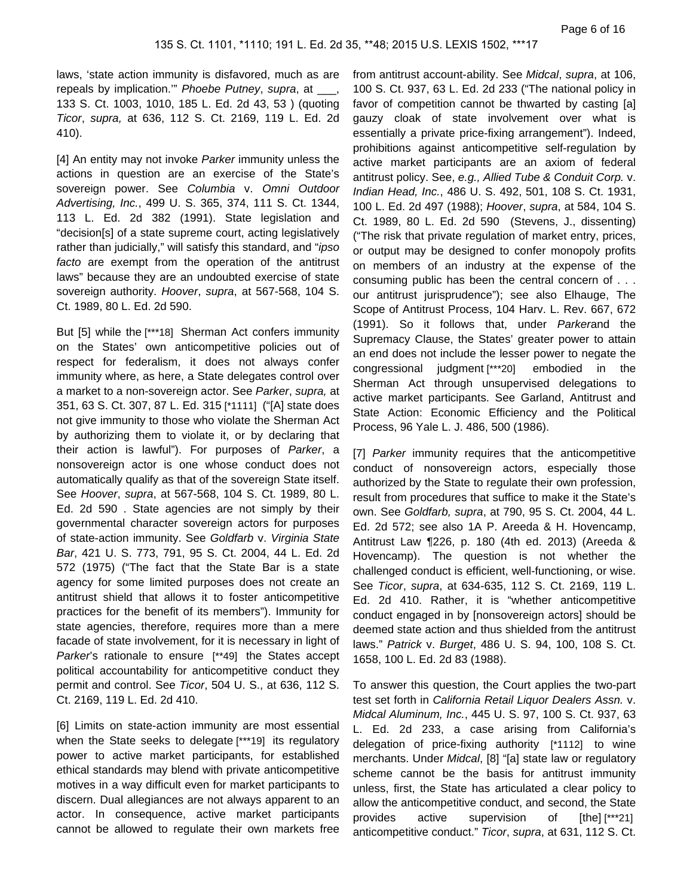laws, 'state action immunity is disfavored, much as are repeals by implication." Phoebe Putney, supra, at \_\_\_, 133 S. Ct. 1003, 1010, 185 L. Ed. 2d 43, 53 ) (quoting Ticor, supra, at 636, 112 S. Ct. 2169, 119 L. Ed. 2d 410).

[4] An entity may not invoke Parker immunity unless the actions in question are an exercise of the State's sovereign power. See Columbia v. Omni Outdoor Advertising, Inc., 499 U. S. 365, 374, 111 S. Ct. 1344, 113 L. Ed. 2d 382 (1991). State legislation and "decision[s] of a state supreme court, acting legislatively rather than judicially," will satisfy this standard, and "ipso facto are exempt from the operation of the antitrust laws" because they are an undoubted exercise of state sovereign authority. Hoover, supra, at 567-568, 104 S. Ct. 1989, 80 L. Ed. 2d 590.

But [5] while the [\*\*\*18] Sherman Act confers immunity on the States' own anticompetitive policies out of respect for federalism, it does not always confer immunity where, as here, a State delegates control over a market to a non-sovereign actor. See Parker, supra, at 351, 63 S. Ct. 307, 87 L. Ed. 315 [\*1111] ("[A] state does not give immunity to those who violate the Sherman Act by authorizing them to violate it, or by declaring that their action is lawful"). For purposes of Parker, a nonsovereign actor is one whose conduct does not automatically qualify as that of the sovereign State itself. See Hoover, supra, at 567-568, 104 S. Ct. 1989, 80 L. Ed. 2d 590 . State agencies are not simply by their governmental character sovereign actors for purposes of state-action immunity. See Goldfarb v. Virginia State Bar, 421 U. S. 773, 791, 95 S. Ct. 2004, 44 L. Ed. 2d 572 (1975) ("The fact that the State Bar is a state agency for some limited purposes does not create an antitrust shield that allows it to foster anticompetitive practices for the benefit of its members"). Immunity for state agencies, therefore, requires more than a mere facade of state involvement, for it is necessary in light of Parker's rationale to ensure [\*\*49] the States accept political accountability for anticompetitive conduct they permit and control. See Ticor, 504 U. S., at 636, 112 S. Ct. 2169, 119 L. Ed. 2d 410.

[6] Limits on state-action immunity are most essential when the State seeks to delegate [\*\*\*19] its regulatory power to active market participants, for established ethical standards may blend with private anticompetitive motives in a way difficult even for market participants to discern. Dual allegiances are not always apparent to an actor. In consequence, active market participants cannot be allowed to regulate their own markets free

from antitrust account-ability. See Midcal, supra, at 106, 100 S. Ct. 937, 63 L. Ed. 2d 233 ("The national policy in favor of competition cannot be thwarted by casting [a] gauzy cloak of state involvement over what is essentially a private price-fixing arrangement"). Indeed, prohibitions against anticompetitive self-regulation by active market participants are an axiom of federal antitrust policy. See, e.g., Allied Tube & Conduit Corp. v. Indian Head, Inc., 486 U. S. 492, 501, 108 S. Ct. 1931, 100 L. Ed. 2d 497 (1988); Hoover, supra, at 584, 104 S. Ct. 1989, 80 L. Ed. 2d 590 (Stevens, J., dissenting) ("The risk that private regulation of market entry, prices, or output may be designed to confer monopoly profits on members of an industry at the expense of the consuming public has been the central concern of . . . our antitrust jurisprudence"); see also Elhauge, The Scope of Antitrust Process, 104 Harv. L. Rev. 667, 672 (1991). So it follows that, under Parkerand the Supremacy Clause, the States' greater power to attain an end does not include the lesser power to negate the congressional judgment [\*\*\*20] embodied in the Sherman Act through unsupervised delegations to active market participants. See Garland, Antitrust and State Action: Economic Efficiency and the Political Process, 96 Yale L. J. 486, 500 (1986).

[7] Parker immunity requires that the anticompetitive conduct of nonsovereign actors, especially those authorized by the State to regulate their own profession, result from procedures that suffice to make it the State's own. See Goldfarb, supra, at 790, 95 S. Ct. 2004, 44 L. Ed. 2d 572; see also 1A P. Areeda & H. Hovencamp, Antitrust Law ¶226, p. 180 (4th ed. 2013) (Areeda & Hovencamp). The question is not whether the challenged conduct is efficient, well-functioning, or wise. See Ticor, supra, at 634-635, 112 S. Ct. 2169, 119 L. Ed. 2d 410. Rather, it is "whether anticompetitive conduct engaged in by [nonsovereign actors] should be deemed state action and thus shielded from the antitrust laws." Patrick v. Burget, 486 U. S. 94, 100, 108 S. Ct. 1658, 100 L. Ed. 2d 83 (1988).

To answer this question, the Court applies the two-part test set forth in California Retail Liquor Dealers Assn. v. Midcal Aluminum, Inc., 445 U. S. 97, 100 S. Ct. 937, 63 L. Ed. 2d 233, a case arising from California's delegation of price-fixing authority [\*1112] to wine merchants. Under Midcal, [8] "[a] state law or regulatory scheme cannot be the basis for antitrust immunity unless, first, the State has articulated a clear policy to allow the anticompetitive conduct, and second, the State provides active supervision of [the] [\*\*\*21] anticompetitive conduct." Ticor, supra, at 631, 112 S. Ct.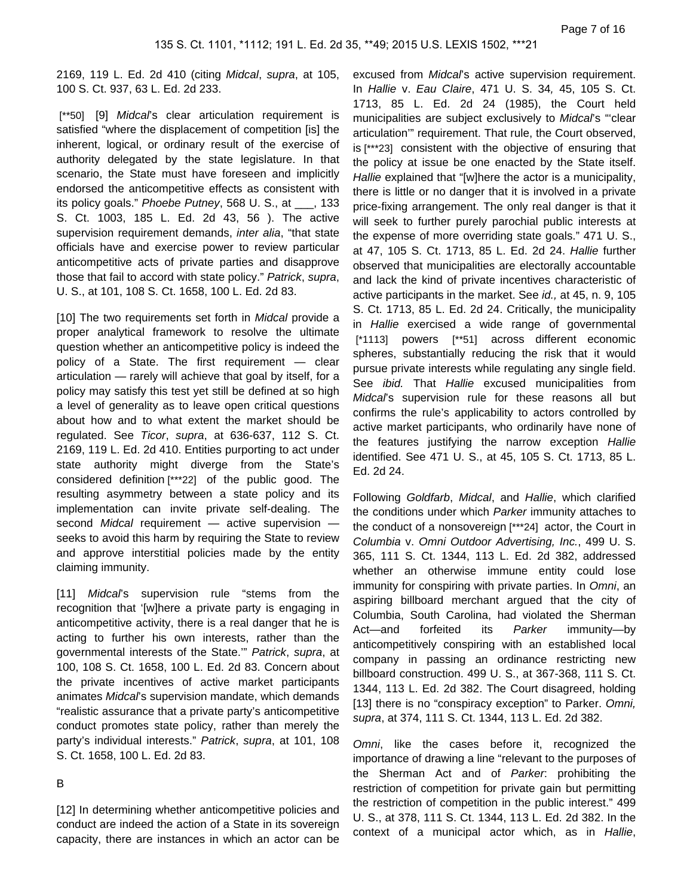2169, 119 L. Ed. 2d 410 (citing Midcal, supra, at 105, 100 S. Ct. 937, 63 L. Ed. 2d 233.

[\*\*50] [9] Midcal's clear articulation requirement is satisfied "where the displacement of competition [is] the inherent, logical, or ordinary result of the exercise of authority delegated by the state legislature. In that scenario, the State must have foreseen and implicitly endorsed the anticompetitive effects as consistent with its policy goals." Phoebe Putney, 568 U. S., at \_\_\_, 133 S. Ct. 1003, 185 L. Ed. 2d 43, 56 ). The active supervision requirement demands, *inter alia*, "that state officials have and exercise power to review particular anticompetitive acts of private parties and disapprove those that fail to accord with state policy." Patrick, supra, U. S., at 101, 108 S. Ct. 1658, 100 L. Ed. 2d 83.

[10] The two requirements set forth in Midcal provide a proper analytical framework to resolve the ultimate question whether an anticompetitive policy is indeed the policy of a State. The first requirement — clear articulation — rarely will achieve that goal by itself, for a policy may satisfy this test yet still be defined at so high a level of generality as to leave open critical questions about how and to what extent the market should be regulated. See Ticor, supra, at 636-637, 112 S. Ct. 2169, 119 L. Ed. 2d 410. Entities purporting to act under state authority might diverge from the State's considered definition [\*\*\*22] of the public good. The resulting asymmetry between a state policy and its implementation can invite private self-dealing. The second Midcal requirement - active supervision seeks to avoid this harm by requiring the State to review and approve interstitial policies made by the entity claiming immunity.

[11] Midcal's supervision rule "stems from the recognition that '[w]here a private party is engaging in anticompetitive activity, there is a real danger that he is acting to further his own interests, rather than the governmental interests of the State.'" Patrick, supra, at 100, 108 S. Ct. 1658, 100 L. Ed. 2d 83. Concern about the private incentives of active market participants animates Midcal's supervision mandate, which demands "realistic assurance that a private party's anticompetitive conduct promotes state policy, rather than merely the party's individual interests." Patrick, supra, at 101, 108 S. Ct. 1658, 100 L. Ed. 2d 83.

## B

[12] In determining whether anticompetitive policies and conduct are indeed the action of a State in its sovereign capacity, there are instances in which an actor can be

excused from Midcal's active supervision requirement. In Hallie v. Eau Claire, 471 U. S. 34, 45, 105 S. Ct. 1713, 85 L. Ed. 2d 24 (1985), the Court held municipalities are subject exclusively to Midcal's "clear articulation'" requirement. That rule, the Court observed, is [\*\*\*23] consistent with the objective of ensuring that the policy at issue be one enacted by the State itself. Hallie explained that "[w]here the actor is a municipality, there is little or no danger that it is involved in a private price-fixing arrangement. The only real danger is that it will seek to further purely parochial public interests at the expense of more overriding state goals." 471 U. S., at 47, 105 S. Ct. 1713, 85 L. Ed. 2d 24. Hallie further observed that municipalities are electorally accountable and lack the kind of private incentives characteristic of active participants in the market. See id., at 45, n. 9, 105 S. Ct. 1713, 85 L. Ed. 2d 24. Critically, the municipality in Hallie exercised a wide range of governmental [\*1113] powers [\*\*51] across different economic spheres, substantially reducing the risk that it would pursue private interests while regulating any single field. See *ibid.* That Hallie excused municipalities from Midcal's supervision rule for these reasons all but confirms the rule's applicability to actors controlled by active market participants, who ordinarily have none of the features justifying the narrow exception Hallie identified. See 471 U. S., at 45, 105 S. Ct. 1713, 85 L. Ed. 2d 24.

Following Goldfarb, Midcal, and Hallie, which clarified the conditions under which Parker immunity attaches to the conduct of a nonsovereign [\*\*\*24] actor, the Court in Columbia v. Omni Outdoor Advertising, Inc., 499 U. S. 365, 111 S. Ct. 1344, 113 L. Ed. 2d 382, addressed whether an otherwise immune entity could lose immunity for conspiring with private parties. In Omni, an aspiring billboard merchant argued that the city of Columbia, South Carolina, had violated the Sherman Act—and forfeited its Parker immunity—by anticompetitively conspiring with an established local company in passing an ordinance restricting new billboard construction. 499 U. S., at 367-368, 111 S. Ct. 1344, 113 L. Ed. 2d 382. The Court disagreed, holding [13] there is no "conspiracy exception" to Parker. Omni, supra, at 374, 111 S. Ct. 1344, 113 L. Ed. 2d 382.

Omni, like the cases before it, recognized the importance of drawing a line "relevant to the purposes of the Sherman Act and of Parker: prohibiting the restriction of competition for private gain but permitting the restriction of competition in the public interest." 499 U. S., at 378, 111 S. Ct. 1344, 113 L. Ed. 2d 382. In the context of a municipal actor which, as in Hallie,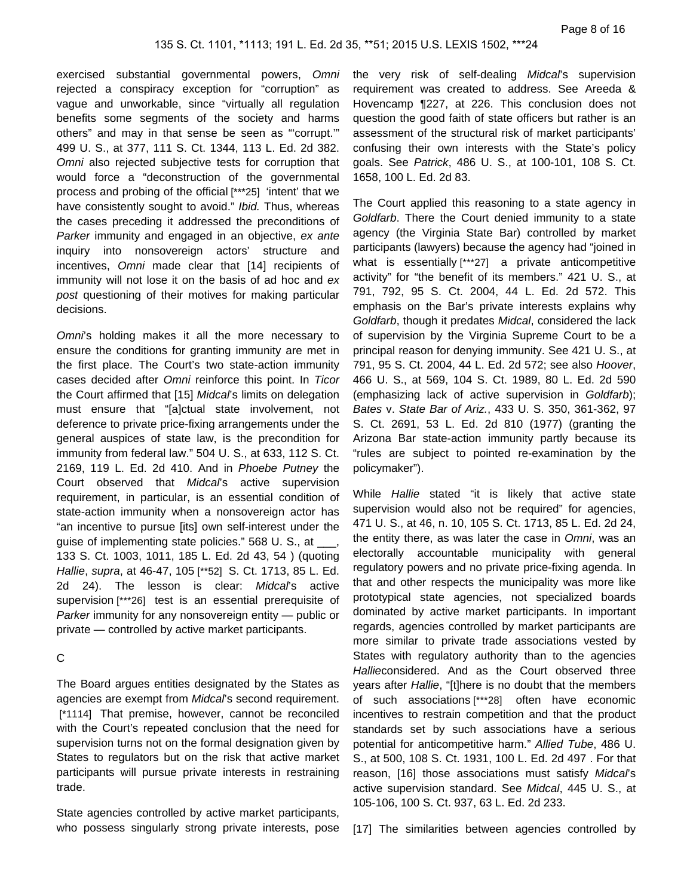exercised substantial governmental powers, Omni rejected a conspiracy exception for "corruption" as vague and unworkable, since "virtually all regulation benefits some segments of the society and harms others" and may in that sense be seen as "'corrupt.'" 499 U. S., at 377, 111 S. Ct. 1344, 113 L. Ed. 2d 382. Omni also rejected subjective tests for corruption that would force a "deconstruction of the governmental process and probing of the official [\*\*\*25] 'intent' that we have consistently sought to avoid." Ibid. Thus, whereas the cases preceding it addressed the preconditions of Parker immunity and engaged in an objective, ex ante inquiry into nonsovereign actors' structure and incentives, Omni made clear that [14] recipients of immunity will not lose it on the basis of ad hoc and ex post questioning of their motives for making particular decisions.

Omni's holding makes it all the more necessary to ensure the conditions for granting immunity are met in the first place. The Court's two state-action immunity cases decided after Omni reinforce this point. In Ticor the Court affirmed that [15] Midcal's limits on delegation must ensure that "[a]ctual state involvement, not deference to private price-fixing arrangements under the general auspices of state law, is the precondition for immunity from federal law." 504 U. S., at 633, 112 S. Ct. 2169, 119 L. Ed. 2d 410. And in Phoebe Putney the Court observed that Midcal's active supervision requirement, in particular, is an essential condition of state-action immunity when a nonsovereign actor has "an incentive to pursue [its] own self-interest under the guise of implementing state policies." 568 U. S., at \_\_\_, 133 S. Ct. 1003, 1011, 185 L. Ed. 2d 43, 54 ) (quoting Hallie, supra, at 46-47, 105 [\*\*52] S. Ct. 1713, 85 L. Ed. 2d 24). The lesson is clear: Midcal's active supervision [\*\*\*26] test is an essential prerequisite of Parker immunity for any nonsovereign entity — public or private — controlled by active market participants.

## C

The Board argues entities designated by the States as agencies are exempt from Midcal's second requirement. [\*1114] That premise, however, cannot be reconciled with the Court's repeated conclusion that the need for supervision turns not on the formal designation given by States to regulators but on the risk that active market participants will pursue private interests in restraining trade.

State agencies controlled by active market participants, who possess singularly strong private interests, pose the very risk of self-dealing Midcal's supervision requirement was created to address. See Areeda & Hovencamp ¶227, at 226. This conclusion does not question the good faith of state officers but rather is an assessment of the structural risk of market participants' confusing their own interests with the State's policy goals. See Patrick, 486 U. S., at 100-101, 108 S. Ct. 1658, 100 L. Ed. 2d 83.

The Court applied this reasoning to a state agency in Goldfarb. There the Court denied immunity to a state agency (the Virginia State Bar) controlled by market participants (lawyers) because the agency had "joined in what is essentially [\*\*\*27] a private anticompetitive activity" for "the benefit of its members." 421 U. S., at 791, 792, 95 S. Ct. 2004, 44 L. Ed. 2d 572. This emphasis on the Bar's private interests explains why Goldfarb, though it predates Midcal, considered the lack of supervision by the Virginia Supreme Court to be a principal reason for denying immunity. See 421 U. S., at 791, 95 S. Ct. 2004, 44 L. Ed. 2d 572; see also Hoover, 466 U. S., at 569, 104 S. Ct. 1989, 80 L. Ed. 2d 590 (emphasizing lack of active supervision in Goldfarb); Bates v. State Bar of Ariz., 433 U. S. 350, 361-362, 97 S. Ct. 2691, 53 L. Ed. 2d 810 (1977) (granting the Arizona Bar state-action immunity partly because its "rules are subject to pointed re-examination by the policymaker").

While Hallie stated "it is likely that active state supervision would also not be required" for agencies, 471 U. S., at 46, n. 10, 105 S. Ct. 1713, 85 L. Ed. 2d 24, the entity there, as was later the case in Omni, was an electorally accountable municipality with general regulatory powers and no private price-fixing agenda. In that and other respects the municipality was more like prototypical state agencies, not specialized boards dominated by active market participants. In important regards, agencies controlled by market participants are more similar to private trade associations vested by States with regulatory authority than to the agencies Hallieconsidered. And as the Court observed three years after Hallie, "[t]here is no doubt that the members of such associations [\*\*\*28] often have economic incentives to restrain competition and that the product standards set by such associations have a serious potential for anticompetitive harm." Allied Tube, 486 U. S., at 500, 108 S. Ct. 1931, 100 L. Ed. 2d 497 . For that reason, [16] those associations must satisfy Midcal's active supervision standard. See Midcal, 445 U. S., at 105-106, 100 S. Ct. 937, 63 L. Ed. 2d 233.

[17] The similarities between agencies controlled by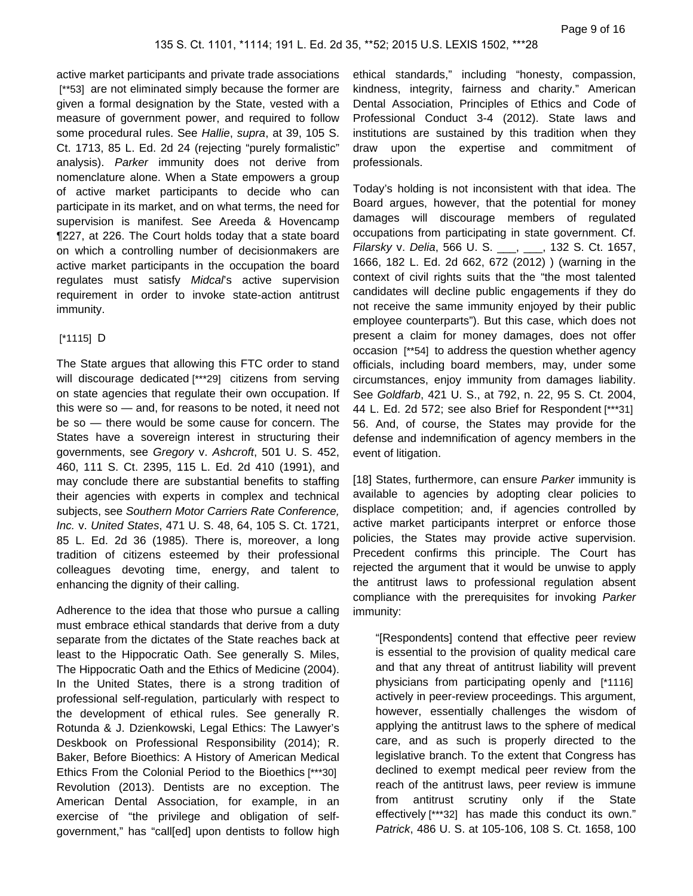active market participants and private trade associations [\*\*53] are not eliminated simply because the former are given a formal designation by the State, vested with a measure of government power, and required to follow some procedural rules. See Hallie, supra, at 39, 105 S. Ct. 1713, 85 L. Ed. 2d 24 (rejecting "purely formalistic" analysis). Parker immunity does not derive from nomenclature alone. When a State empowers a group of active market participants to decide who can participate in its market, and on what terms, the need for supervision is manifest. See Areeda & Hovencamp ¶227, at 226. The Court holds today that a state board on which a controlling number of decisionmakers are active market participants in the occupation the board regulates must satisfy Midcal's active supervision requirement in order to invoke state-action antitrust immunity.

## [\*1115] D

The State argues that allowing this FTC order to stand will discourage dedicated [\*\*\*29] citizens from serving on state agencies that regulate their own occupation. If this were so — and, for reasons to be noted, it need not be so — there would be some cause for concern. The States have a sovereign interest in structuring their governments, see Gregory v. Ashcroft, 501 U. S. 452, 460, 111 S. Ct. 2395, 115 L. Ed. 2d 410 (1991), and may conclude there are substantial benefits to staffing their agencies with experts in complex and technical subjects, see Southern Motor Carriers Rate Conference, Inc. v. United States, 471 U. S. 48, 64, 105 S. Ct. 1721, 85 L. Ed. 2d 36 (1985). There is, moreover, a long tradition of citizens esteemed by their professional colleagues devoting time, energy, and talent to enhancing the dignity of their calling.

Adherence to the idea that those who pursue a calling must embrace ethical standards that derive from a duty separate from the dictates of the State reaches back at least to the Hippocratic Oath. See generally S. Miles, The Hippocratic Oath and the Ethics of Medicine (2004). In the United States, there is a strong tradition of professional self-regulation, particularly with respect to the development of ethical rules. See generally R. Rotunda & J. Dzienkowski, Legal Ethics: The Lawyer's Deskbook on Professional Responsibility (2014); R. Baker, Before Bioethics: A History of American Medical Ethics From the Colonial Period to the Bioethics [\*\*\*30] Revolution (2013). Dentists are no exception. The American Dental Association, for example, in an exercise of "the privilege and obligation of selfgovernment," has "call[ed] upon dentists to follow high

ethical standards," including "honesty, compassion, kindness, integrity, fairness and charity." American Dental Association, Principles of Ethics and Code of Professional Conduct 3-4 (2012). State laws and institutions are sustained by this tradition when they draw upon the expertise and commitment of professionals.

Today's holding is not inconsistent with that idea. The Board argues, however, that the potential for money damages will discourage members of regulated occupations from participating in state government. Cf. Filarsky v. Delia, 566 U. S. \_\_\_, \_\_\_, 132 S. Ct. 1657, 1666, 182 L. Ed. 2d 662, 672 (2012) ) (warning in the context of civil rights suits that the "the most talented candidates will decline public engagements if they do not receive the same immunity enjoyed by their public employee counterparts"). But this case, which does not present a claim for money damages, does not offer occasion [\*\*54] to address the question whether agency officials, including board members, may, under some circumstances, enjoy immunity from damages liability. See Goldfarb, 421 U. S., at 792, n. 22, 95 S. Ct. 2004, 44 L. Ed. 2d 572; see also Brief for Respondent [\*\*\*31] 56. And, of course, the States may provide for the defense and indemnification of agency members in the event of litigation.

[18] States, furthermore, can ensure Parker immunity is available to agencies by adopting clear policies to displace competition; and, if agencies controlled by active market participants interpret or enforce those policies, the States may provide active supervision. Precedent confirms this principle. The Court has rejected the argument that it would be unwise to apply the antitrust laws to professional regulation absent compliance with the prerequisites for invoking Parker immunity:

"[Respondents] contend that effective peer review is essential to the provision of quality medical care and that any threat of antitrust liability will prevent physicians from participating openly and [\*1116] actively in peer-review proceedings. This argument, however, essentially challenges the wisdom of applying the antitrust laws to the sphere of medical care, and as such is properly directed to the legislative branch. To the extent that Congress has declined to exempt medical peer review from the reach of the antitrust laws, peer review is immune from antitrust scrutiny only if the State effectively [\*\*\*32] has made this conduct its own." Patrick, 486 U. S. at 105-106, 108 S. Ct. 1658, 100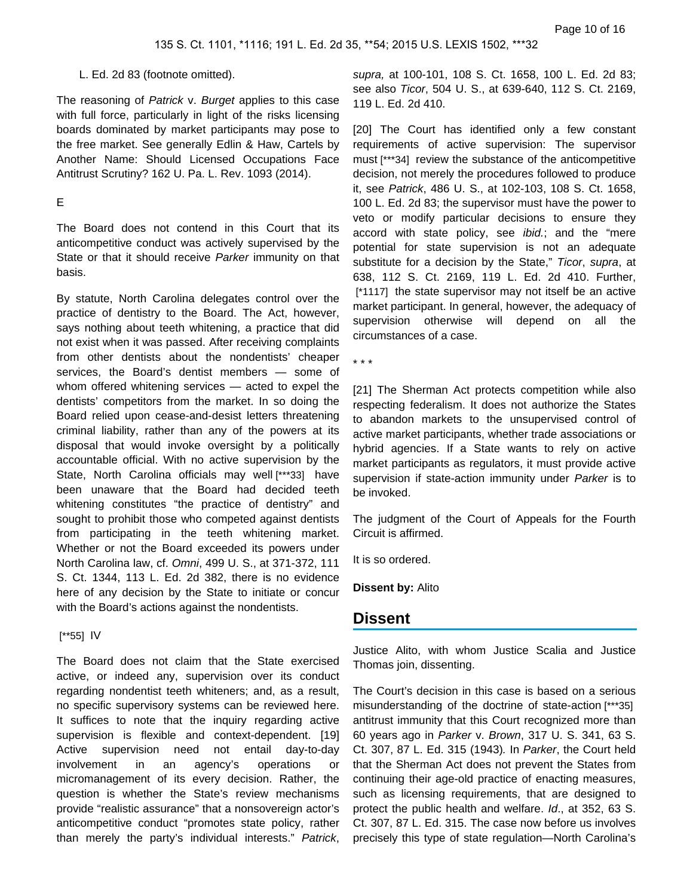#### L. Ed. 2d 83 (footnote omitted).

The reasoning of Patrick v. Burget applies to this case with full force, particularly in light of the risks licensing boards dominated by market participants may pose to the free market. See generally Edlin & Haw, Cartels by Another Name: Should Licensed Occupations Face Antitrust Scrutiny? 162 U. Pa. L. Rev. 1093 (2014).

## E

The Board does not contend in this Court that its anticompetitive conduct was actively supervised by the State or that it should receive Parker immunity on that basis.

By statute, North Carolina delegates control over the practice of dentistry to the Board. The Act, however, says nothing about teeth whitening, a practice that did not exist when it was passed. After receiving complaints from other dentists about the nondentists' cheaper services, the Board's dentist members — some of whom offered whitening services — acted to expel the dentists' competitors from the market. In so doing the Board relied upon cease-and-desist letters threatening criminal liability, rather than any of the powers at its disposal that would invoke oversight by a politically accountable official. With no active supervision by the State, North Carolina officials may well [\*\*\*33] have been unaware that the Board had decided teeth whitening constitutes "the practice of dentistry" and sought to prohibit those who competed against dentists from participating in the teeth whitening market. Whether or not the Board exceeded its powers under North Carolina law, cf. Omni, 499 U. S., at 371-372, 111 S. Ct. 1344, 113 L. Ed. 2d 382, there is no evidence here of any decision by the State to initiate or concur with the Board's actions against the nondentists.

### [\*\*55] IV

The Board does not claim that the State exercised active, or indeed any, supervision over its conduct regarding nondentist teeth whiteners; and, as a result, no specific supervisory systems can be reviewed here. It suffices to note that the inquiry regarding active supervision is flexible and context-dependent. [19] Active supervision need not entail day-to-day involvement in an agency's operations or micromanagement of its every decision. Rather, the question is whether the State's review mechanisms provide "realistic assurance" that a nonsovereign actor's anticompetitive conduct "promotes state policy, rather than merely the party's individual interests." Patrick, supra, at 100-101, 108 S. Ct. 1658, 100 L. Ed. 2d 83; see also Ticor, 504 U. S., at 639-640, 112 S. Ct. 2169, 119 L. Ed. 2d 410.

[20] The Court has identified only a few constant requirements of active supervision: The supervisor must [\*\*\*34] review the substance of the anticompetitive decision, not merely the procedures followed to produce it, see Patrick, 486 U. S., at 102-103, 108 S. Ct. 1658, 100 L. Ed. 2d 83; the supervisor must have the power to veto or modify particular decisions to ensure they accord with state policy, see *ibid.*; and the "mere potential for state supervision is not an adequate substitute for a decision by the State," Ticor, supra, at 638, 112 S. Ct. 2169, 119 L. Ed. 2d 410. Further, [\*1117] the state supervisor may not itself be an active market participant. In general, however, the adequacy of supervision otherwise will depend on all the circumstances of a case.

\* \* \*

[21] The Sherman Act protects competition while also respecting federalism. It does not authorize the States to abandon markets to the unsupervised control of active market participants, whether trade associations or hybrid agencies. If a State wants to rely on active market participants as regulators, it must provide active supervision if state-action immunity under Parker is to be invoked.

The judgment of the Court of Appeals for the Fourth Circuit is affirmed.

It is so ordered.

**Dissent by:** Alito

## **Dissent**

Justice Alito, with whom Justice Scalia and Justice Thomas join, dissenting.

The Court's decision in this case is based on a serious misunderstanding of the doctrine of state-action [\*\*\*35] antitrust immunity that this Court recognized more than 60 years ago in Parker v. Brown, 317 U. S. 341, 63 S. Ct. 307, 87 L. Ed. 315 (1943). In Parker, the Court held that the Sherman Act does not prevent the States from continuing their age-old practice of enacting measures, such as licensing requirements, that are designed to protect the public health and welfare. Id., at 352, 63 S. Ct. 307, 87 L. Ed. 315. The case now before us involves precisely this type of state regulation—North Carolina's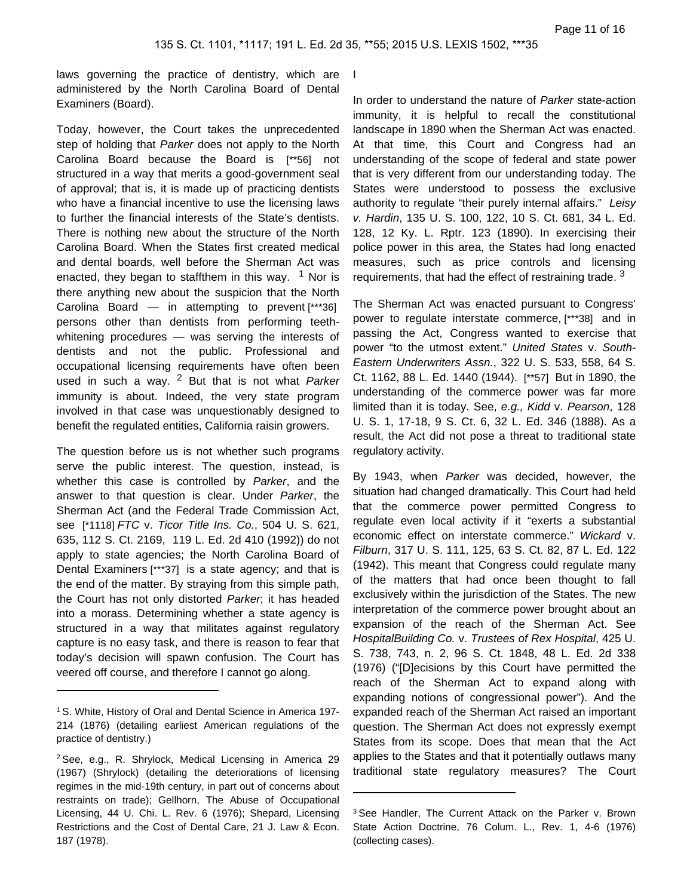laws governing the practice of dentistry, which are administered by the North Carolina Board of Dental Examiners (Board).

Today, however, the Court takes the unprecedented step of holding that Parker does not apply to the North Carolina Board because the Board is [\*\*56] not structured in a way that merits a good-government seal of approval; that is, it is made up of practicing dentists who have a financial incentive to use the licensing laws to further the financial interests of the State's dentists. There is nothing new about the structure of the North Carolina Board. When the States first created medical and dental boards, well before the Sherman Act was enacted, they began to staffthem in this way. <sup>1</sup> Nor is there anything new about the suspicion that the North Carolina Board — in attempting to prevent [\*\*\*36] persons other than dentists from performing teethwhitening procedures — was serving the interests of dentists and not the public. Professional and occupational licensing requirements have often been used in such a way.  $2$  But that is not what Parker immunity is about. Indeed, the very state program involved in that case was unquestionably designed to benefit the regulated entities, California raisin growers.

The question before us is not whether such programs serve the public interest. The question, instead, is whether this case is controlled by Parker, and the answer to that question is clear. Under Parker, the Sherman Act (and the Federal Trade Commission Act, see [\*1118] FTC v. Ticor Title Ins. Co., 504 U. S. 621, 635, 112 S. Ct. 2169, 119 L. Ed. 2d 410 (1992)) do not apply to state agencies; the North Carolina Board of Dental Examiners [\*\*\*37] is a state agency; and that is the end of the matter. By straying from this simple path, the Court has not only distorted Parker; it has headed into a morass. Determining whether a state agency is structured in a way that militates against regulatory capture is no easy task, and there is reason to fear that today's decision will spawn confusion. The Court has veered off course, and therefore I cannot go along.

I

In order to understand the nature of Parker state-action immunity, it is helpful to recall the constitutional landscape in 1890 when the Sherman Act was enacted. At that time, this Court and Congress had an understanding of the scope of federal and state power that is very different from our understanding today. The States were understood to possess the exclusive authority to regulate "their purely internal affairs." Leisy v. Hardin, 135 U. S. 100, 122, 10 S. Ct. 681, 34 L. Ed. 128, 12 Ky. L. Rptr. 123 (1890). In exercising their police power in this area, the States had long enacted measures, such as price controls and licensing requirements, that had the effect of restraining trade.<sup>3</sup>

The Sherman Act was enacted pursuant to Congress' power to regulate interstate commerce, [\*\*\*38] and in passing the Act, Congress wanted to exercise that power "to the utmost extent." United States v. South-Eastern Underwriters Assn., 322 U. S. 533, 558, 64 S. Ct. 1162, 88 L. Ed. 1440 (1944). [\*\*57] But in 1890, the understanding of the commerce power was far more limited than it is today. See, e.g., Kidd v. Pearson, 128 U. S. 1, 17-18, 9 S. Ct. 6, 32 L. Ed. 346 (1888). As a result, the Act did not pose a threat to traditional state regulatory activity.

By 1943, when *Parker* was decided, however, the situation had changed dramatically. This Court had held that the commerce power permitted Congress to regulate even local activity if it "exerts a substantial economic effect on interstate commerce." Wickard v. Filburn, 317 U. S. 111, 125, 63 S. Ct. 82, 87 L. Ed. 122 (1942). This meant that Congress could regulate many of the matters that had once been thought to fall exclusively within the jurisdiction of the States. The new interpretation of the commerce power brought about an expansion of the reach of the Sherman Act. See HospitalBuilding Co. v. Trustees of Rex Hospital, 425 U. S. 738, 743, n. 2, 96 S. Ct. 1848, 48 L. Ed. 2d 338 (1976) ("[D]ecisions by this Court have permitted the reach of the Sherman Act to expand along with expanding notions of congressional power"). And the expanded reach of the Sherman Act raised an important question. The Sherman Act does not expressly exempt States from its scope. Does that mean that the Act applies to the States and that it potentially outlaws many traditional state regulatory measures? The Court

<sup>1</sup> S. White, History of Oral and Dental Science in America 197- 214 (1876) (detailing earliest American regulations of the practice of dentistry.)

<sup>2</sup> See, e.g., R. Shrylock, Medical Licensing in America 29 (1967) (Shrylock) (detailing the deteriorations of licensing regimes in the mid-19th century, in part out of concerns about restraints on trade); Gellhorn, The Abuse of Occupational Licensing, 44 U. Chi. L. Rev. 6 (1976); Shepard, Licensing Restrictions and the Cost of Dental Care, 21 J. Law & Econ. 187 (1978).

<sup>3</sup> See Handler, The Current Attack on the Parker v. Brown State Action Doctrine, 76 Colum. L., Rev. 1, 4-6 (1976) (collecting cases).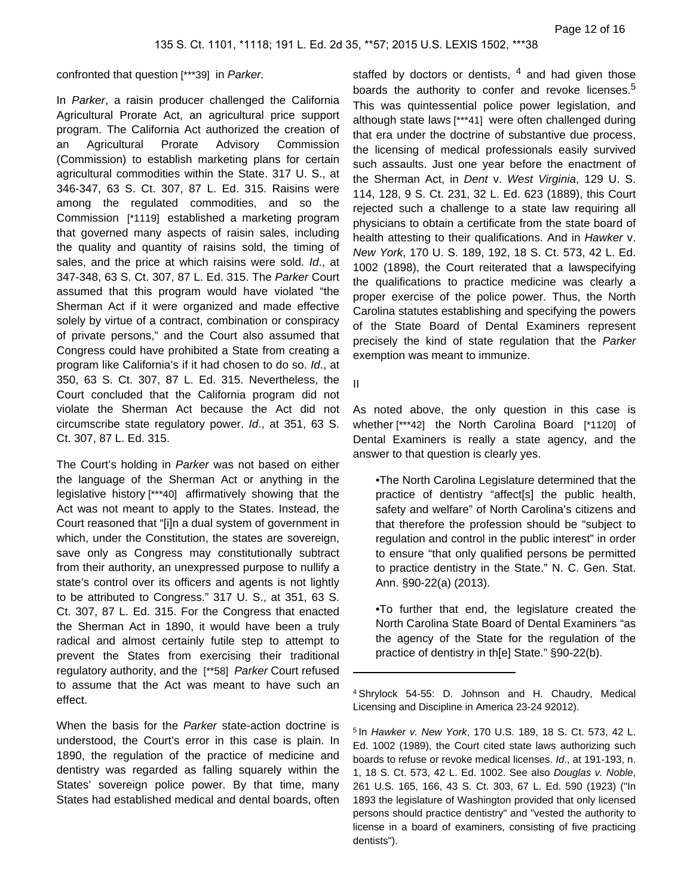confronted that question [\*\*\*39] in Parker.

In Parker, a raisin producer challenged the California Agricultural Prorate Act, an agricultural price support program. The California Act authorized the creation of an Agricultural Prorate Advisory Commission (Commission) to establish marketing plans for certain agricultural commodities within the State. 317 U. S., at 346-347, 63 S. Ct. 307, 87 L. Ed. 315. Raisins were among the regulated commodities, and so the Commission [\*1119] established a marketing program that governed many aspects of raisin sales, including the quality and quantity of raisins sold, the timing of sales, and the price at which raisins were sold. Id., at 347-348, 63 S. Ct. 307, 87 L. Ed. 315. The Parker Court assumed that this program would have violated "the Sherman Act if it were organized and made effective solely by virtue of a contract, combination or conspiracy of private persons," and the Court also assumed that Congress could have prohibited a State from creating a program like California's if it had chosen to do so. Id., at 350, 63 S. Ct. 307, 87 L. Ed. 315. Nevertheless, the Court concluded that the California program did not violate the Sherman Act because the Act did not circumscribe state regulatory power. Id., at 351, 63 S. Ct. 307, 87 L. Ed. 315.

The Court's holding in Parker was not based on either the language of the Sherman Act or anything in the legislative history [\*\*\*40] affirmatively showing that the Act was not meant to apply to the States. Instead, the Court reasoned that "[i]n a dual system of government in which, under the Constitution, the states are sovereign, save only as Congress may constitutionally subtract from their authority, an unexpressed purpose to nullify a state's control over its officers and agents is not lightly to be attributed to Congress." 317 U. S., at 351, 63 S. Ct. 307, 87 L. Ed. 315. For the Congress that enacted the Sherman Act in 1890, it would have been a truly radical and almost certainly futile step to attempt to prevent the States from exercising their traditional regulatory authority, and the [\*\*58] Parker Court refused to assume that the Act was meant to have such an effect.

When the basis for the Parker state-action doctrine is understood, the Court's error in this case is plain. In 1890, the regulation of the practice of medicine and dentistry was regarded as falling squarely within the States' sovereign police power. By that time, many States had established medical and dental boards, often staffed by doctors or dentists,  $4$  and had given those boards the authority to confer and revoke licenses.<sup>5</sup> This was quintessential police power legislation, and although state laws [\*\*\*41] were often challenged during that era under the doctrine of substantive due process, the licensing of medical professionals easily survived such assaults. Just one year before the enactment of the Sherman Act, in Dent v. West Virginia, 129 U. S. 114, 128, 9 S. Ct. 231, 32 L. Ed. 623 (1889), this Court rejected such a challenge to a state law requiring all physicians to obtain a certificate from the state board of health attesting to their qualifications. And in Hawker v. New York, 170 U. S. 189, 192, 18 S. Ct. 573, 42 L. Ed. 1002 (1898), the Court reiterated that a lawspecifying the qualifications to practice medicine was clearly a proper exercise of the police power. Thus, the North Carolina statutes establishing and specifying the powers of the State Board of Dental Examiners represent precisely the kind of state regulation that the Parker exemption was meant to immunize.

II

As noted above, the only question in this case is whether [\*\*\*42] the North Carolina Board [\*1120] of Dental Examiners is really a state agency, and the answer to that question is clearly yes.

•The North Carolina Legislature determined that the practice of dentistry "affect[s] the public health, safety and welfare" of North Carolina's citizens and that therefore the profession should be "subject to regulation and control in the public interest" in order to ensure "that only qualified persons be permitted to practice dentistry in the State." N. C. Gen. Stat. Ann. §90-22(a) (2013).

•To further that end, the legislature created the North Carolina State Board of Dental Examiners "as the agency of the State for the regulation of the practice of dentistry in th[e] State." §90-22(b).

<sup>4</sup> Shrylock 54-55: D. Johnson and H. Chaudry, Medical Licensing and Discipline in America 23-24 92012).

<sup>5</sup> In Hawker v. New York, 170 U.S. 189, 18 S. Ct. 573, 42 L. Ed. 1002 (1989), the Court cited state laws authorizing such boards to refuse or revoke medical licenses. Id., at 191-193, n. 1, 18 S. Ct. 573, 42 L. Ed. 1002. See also Douglas v. Noble, 261 U.S. 165, 166, 43 S. Ct. 303, 67 L. Ed. 590 (1923) ("In 1893 the legislature of Washington provided that only licensed persons should practice dentistry" and "vested the authority to license in a board of examiners, consisting of five practicing dentists").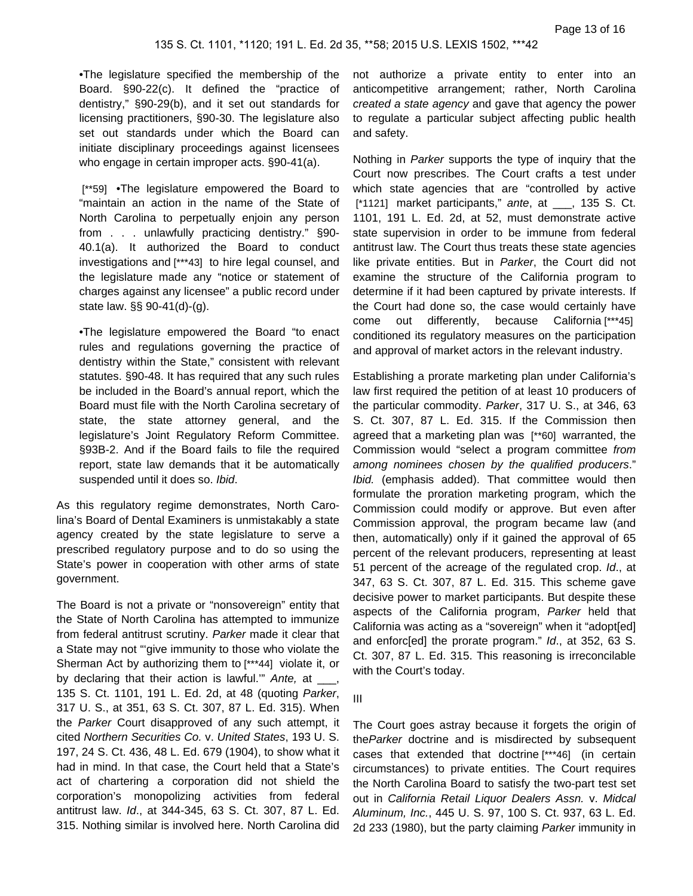•The legislature specified the membership of the Board. §90-22(c). It defined the "practice of dentistry," §90-29(b), and it set out standards for licensing practitioners, §90-30. The legislature also set out standards under which the Board can initiate disciplinary proceedings against licensees who engage in certain improper acts. §90-41(a).

[\*\*59] •The legislature empowered the Board to "maintain an action in the name of the State of North Carolina to perpetually enjoin any person from . . . unlawfully practicing dentistry." §90- 40.1(a). It authorized the Board to conduct investigations and [\*\*\*43] to hire legal counsel, and the legislature made any "notice or statement of charges against any licensee" a public record under state law. §§ 90-41(d)-(g).

•The legislature empowered the Board "to enact rules and regulations governing the practice of dentistry within the State," consistent with relevant statutes. §90-48. It has required that any such rules be included in the Board's annual report, which the Board must file with the North Carolina secretary of state, the state attorney general, and the legislature's Joint Regulatory Reform Committee. §93B-2. And if the Board fails to file the required report, state law demands that it be automatically suspended until it does so. Ibid.

As this regulatory regime demonstrates, North Carolina's Board of Dental Examiners is unmistakably a state agency created by the state legislature to serve a prescribed regulatory purpose and to do so using the State's power in cooperation with other arms of state government.

The Board is not a private or "nonsovereign" entity that the State of North Carolina has attempted to immunize from federal antitrust scrutiny. Parker made it clear that a State may not "'give immunity to those who violate the Sherman Act by authorizing them to [\*\*\*44] violate it, or by declaring that their action is lawful." Ante, at \_ 135 S. Ct. 1101, 191 L. Ed. 2d, at 48 (quoting Parker, 317 U. S., at 351, 63 S. Ct. 307, 87 L. Ed. 315). When the Parker Court disapproved of any such attempt, it cited Northern Securities Co. v. United States, 193 U. S. 197, 24 S. Ct. 436, 48 L. Ed. 679 (1904), to show what it had in mind. In that case, the Court held that a State's act of chartering a corporation did not shield the corporation's monopolizing activities from federal antitrust law. Id., at 344-345, 63 S. Ct. 307, 87 L. Ed. 315. Nothing similar is involved here. North Carolina did not authorize a private entity to enter into an anticompetitive arrangement; rather, North Carolina created a state agency and gave that agency the power to regulate a particular subject affecting public health and safety.

Nothing in Parker supports the type of inquiry that the Court now prescribes. The Court crafts a test under which state agencies that are "controlled by active [\*1121] market participants," ante, at \_\_\_, 135 S. Ct. 1101, 191 L. Ed. 2d, at 52, must demonstrate active state supervision in order to be immune from federal antitrust law. The Court thus treats these state agencies like private entities. But in Parker, the Court did not examine the structure of the California program to determine if it had been captured by private interests. If the Court had done so, the case would certainly have come out differently, because California [\*\*\*45] conditioned its regulatory measures on the participation and approval of market actors in the relevant industry.

Establishing a prorate marketing plan under California's law first required the petition of at least 10 producers of the particular commodity. Parker, 317 U. S., at 346, 63 S. Ct. 307, 87 L. Ed. 315. If the Commission then agreed that a marketing plan was [\*\*60] warranted, the Commission would "select a program committee from among nominees chosen by the qualified producers." Ibid. (emphasis added). That committee would then formulate the proration marketing program, which the Commission could modify or approve. But even after Commission approval, the program became law (and then, automatically) only if it gained the approval of 65 percent of the relevant producers, representing at least 51 percent of the acreage of the regulated crop. Id., at 347, 63 S. Ct. 307, 87 L. Ed. 315. This scheme gave decisive power to market participants. But despite these aspects of the California program, Parker held that California was acting as a "sovereign" when it "adopt[ed] and enforc[ed] the prorate program." Id., at 352, 63 S. Ct. 307, 87 L. Ed. 315. This reasoning is irreconcilable with the Court's today.

### III

The Court goes astray because it forgets the origin of the Parker doctrine and is misdirected by subsequent cases that extended that doctrine [\*\*\*46] (in certain circumstances) to private entities. The Court requires the North Carolina Board to satisfy the two-part test set out in California Retail Liquor Dealers Assn. v. Midcal Aluminum, Inc., 445 U. S. 97, 100 S. Ct. 937, 63 L. Ed. 2d 233 (1980), but the party claiming Parker immunity in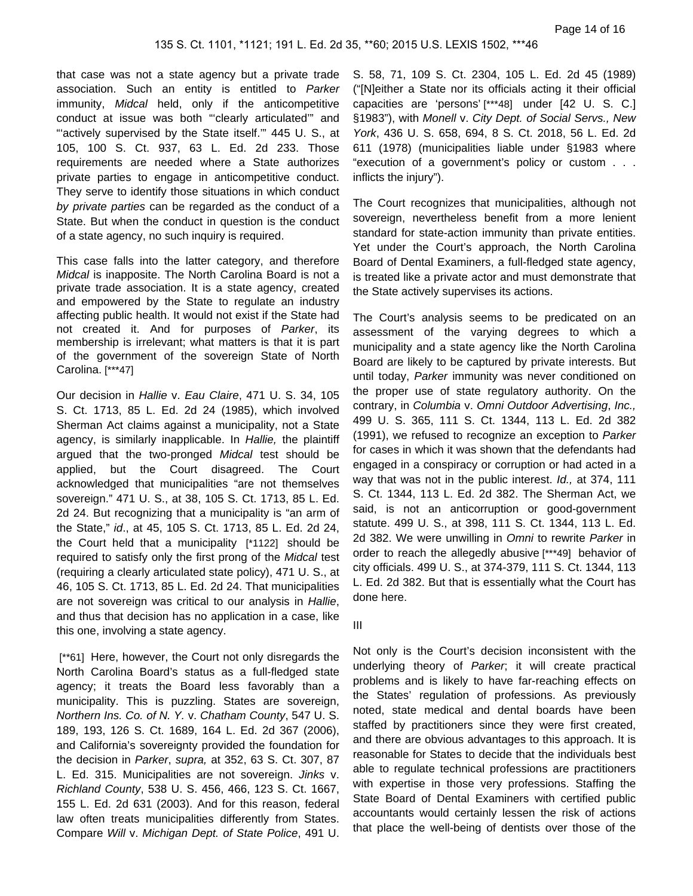that case was not a state agency but a private trade association. Such an entity is entitled to Parker immunity, *Midcal* held, only if the anticompetitive conduct at issue was both "'clearly articulated'" and "actively supervised by the State itself." 445 U. S., at 105, 100 S. Ct. 937, 63 L. Ed. 2d 233. Those requirements are needed where a State authorizes private parties to engage in anticompetitive conduct. They serve to identify those situations in which conduct by private parties can be regarded as the conduct of a State. But when the conduct in question is the conduct of a state agency, no such inquiry is required.

This case falls into the latter category, and therefore Midcal is inapposite. The North Carolina Board is not a private trade association. It is a state agency, created and empowered by the State to regulate an industry affecting public health. It would not exist if the State had not created it. And for purposes of Parker, its membership is irrelevant; what matters is that it is part of the government of the sovereign State of North Carolina. [\*\*\*47]

Our decision in Hallie v. Eau Claire, 471 U. S. 34, 105 S. Ct. 1713, 85 L. Ed. 2d 24 (1985), which involved Sherman Act claims against a municipality, not a State agency, is similarly inapplicable. In Hallie, the plaintiff argued that the two-pronged Midcal test should be applied, but the Court disagreed. The Court acknowledged that municipalities "are not themselves sovereign." 471 U. S., at 38, 105 S. Ct. 1713, 85 L. Ed. 2d 24. But recognizing that a municipality is "an arm of the State," id., at 45, 105 S. Ct. 1713, 85 L. Ed. 2d 24, the Court held that a municipality [\*1122] should be required to satisfy only the first prong of the Midcal test (requiring a clearly articulated state policy), 471 U. S., at 46, 105 S. Ct. 1713, 85 L. Ed. 2d 24. That municipalities are not sovereign was critical to our analysis in Hallie, and thus that decision has no application in a case, like this one, involving a state agency.

[\*\*61] Here, however, the Court not only disregards the North Carolina Board's status as a full-fledged state agency; it treats the Board less favorably than a municipality. This is puzzling. States are sovereign, Northern Ins. Co. of N. Y. v. Chatham County, 547 U. S. 189, 193, 126 S. Ct. 1689, 164 L. Ed. 2d 367 (2006), and California's sovereignty provided the foundation for the decision in Parker, supra, at 352, 63 S. Ct. 307, 87 L. Ed. 315. Municipalities are not sovereign. Jinks v. Richland County, 538 U. S. 456, 466, 123 S. Ct. 1667, 155 L. Ed. 2d 631 (2003). And for this reason, federal law often treats municipalities differently from States. Compare Will v. Michigan Dept. of State Police, 491 U.

S. 58, 71, 109 S. Ct. 2304, 105 L. Ed. 2d 45 (1989) ("[N]either a State nor its officials acting it their official capacities are 'persons' [\*\*\*48] under [42 U. S. C.] §1983"), with Monell v. City Dept. of Social Servs., New York, 436 U. S. 658, 694, 8 S. Ct. 2018, 56 L. Ed. 2d 611 (1978) (municipalities liable under §1983 where "execution of a government's policy or custom . . . inflicts the injury").

The Court recognizes that municipalities, although not sovereign, nevertheless benefit from a more lenient standard for state-action immunity than private entities. Yet under the Court's approach, the North Carolina Board of Dental Examiners, a full-fledged state agency, is treated like a private actor and must demonstrate that the State actively supervises its actions.

The Court's analysis seems to be predicated on an assessment of the varying degrees to which a municipality and a state agency like the North Carolina Board are likely to be captured by private interests. But until today, Parker immunity was never conditioned on the proper use of state regulatory authority. On the contrary, in Columbia v. Omni Outdoor Advertising, Inc., 499 U. S. 365, 111 S. Ct. 1344, 113 L. Ed. 2d 382 (1991), we refused to recognize an exception to Parker for cases in which it was shown that the defendants had engaged in a conspiracy or corruption or had acted in a way that was not in the public interest. Id., at 374, 111 S. Ct. 1344, 113 L. Ed. 2d 382. The Sherman Act, we said, is not an anticorruption or good-government statute. 499 U. S., at 398, 111 S. Ct. 1344, 113 L. Ed. 2d 382. We were unwilling in Omni to rewrite Parker in order to reach the allegedly abusive [\*\*\*49] behavior of city officials. 499 U. S., at 374-379, 111 S. Ct. 1344, 113 L. Ed. 2d 382. But that is essentially what the Court has done here.

### III

Not only is the Court's decision inconsistent with the underlying theory of Parker; it will create practical problems and is likely to have far-reaching effects on the States' regulation of professions. As previously noted, state medical and dental boards have been staffed by practitioners since they were first created, and there are obvious advantages to this approach. It is reasonable for States to decide that the individuals best able to regulate technical professions are practitioners with expertise in those very professions. Staffing the State Board of Dental Examiners with certified public accountants would certainly lessen the risk of actions that place the well-being of dentists over those of the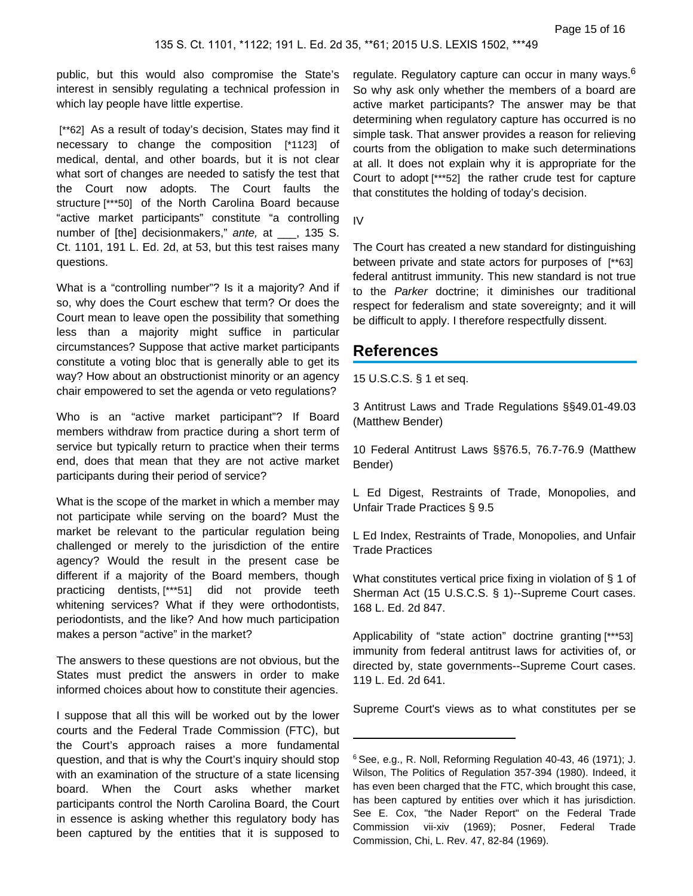public, but this would also compromise the State's interest in sensibly regulating a technical profession in which lay people have little expertise.

[\*\*62] As a result of today's decision, States may find it necessary to change the composition [\*1123] of medical, dental, and other boards, but it is not clear what sort of changes are needed to satisfy the test that the Court now adopts. The Court faults the structure [\*\*\*50] of the North Carolina Board because "active market participants" constitute "a controlling number of [the] decisionmakers," ante, at \_\_, 135 S. Ct. 1101, 191 L. Ed. 2d, at 53, but this test raises many questions.

What is a "controlling number"? Is it a majority? And if so, why does the Court eschew that term? Or does the Court mean to leave open the possibility that something less than a majority might suffice in particular circumstances? Suppose that active market participants constitute a voting bloc that is generally able to get its way? How about an obstructionist minority or an agency chair empowered to set the agenda or veto regulations?

Who is an "active market participant"? If Board members withdraw from practice during a short term of service but typically return to practice when their terms end, does that mean that they are not active market participants during their period of service?

What is the scope of the market in which a member may not participate while serving on the board? Must the market be relevant to the particular regulation being challenged or merely to the jurisdiction of the entire agency? Would the result in the present case be different if a majority of the Board members, though practicing dentists, [\*\*\*51] did not provide teeth whitening services? What if they were orthodontists, periodontists, and the like? And how much participation makes a person "active" in the market?

The answers to these questions are not obvious, but the States must predict the answers in order to make informed choices about how to constitute their agencies.

I suppose that all this will be worked out by the lower courts and the Federal Trade Commission (FTC), but the Court's approach raises a more fundamental question, and that is why the Court's inquiry should stop with an examination of the structure of a state licensing board. When the Court asks whether market participants control the North Carolina Board, the Court in essence is asking whether this regulatory body has been captured by the entities that it is supposed to

regulate. Regulatory capture can occur in many ways.<sup>6</sup> So why ask only whether the members of a board are active market participants? The answer may be that determining when regulatory capture has occurred is no simple task. That answer provides a reason for relieving courts from the obligation to make such determinations at all. It does not explain why it is appropriate for the Court to adopt [\*\*\*52] the rather crude test for capture that constitutes the holding of today's decision.

IV

The Court has created a new standard for distinguishing between private and state actors for purposes of [\*\*63] federal antitrust immunity. This new standard is not true to the Parker doctrine; it diminishes our traditional respect for federalism and state sovereignty; and it will be difficult to apply. I therefore respectfully dissent.

## **References**

15 U.S.C.S. § 1 et seq.

3 Antitrust Laws and Trade Regulations §§49.01-49.03 (Matthew Bender)

10 Federal Antitrust Laws §§76.5, 76.7-76.9 (Matthew Bender)

L Ed Digest, Restraints of Trade, Monopolies, and Unfair Trade Practices § 9.5

L Ed Index, Restraints of Trade, Monopolies, and Unfair Trade Practices

What constitutes vertical price fixing in violation of § 1 of Sherman Act (15 U.S.C.S. § 1)--Supreme Court cases. 168 L. Ed. 2d 847.

Applicability of "state action" doctrine granting [\*\*\*53] immunity from federal antitrust laws for activities of, or directed by, state governments--Supreme Court cases. 119 L. Ed. 2d 641.

Supreme Court's views as to what constitutes per se

<sup>6</sup> See, e.g., R. Noll, Reforming Regulation 40-43, 46 (1971); J. Wilson, The Politics of Regulation 357-394 (1980). Indeed, it has even been charged that the FTC, which brought this case, has been captured by entities over which it has jurisdiction. See E. Cox, "the Nader Report" on the Federal Trade Commission vii-xiv (1969); Posner, Federal Trade Commission, Chi, L. Rev. 47, 82-84 (1969).